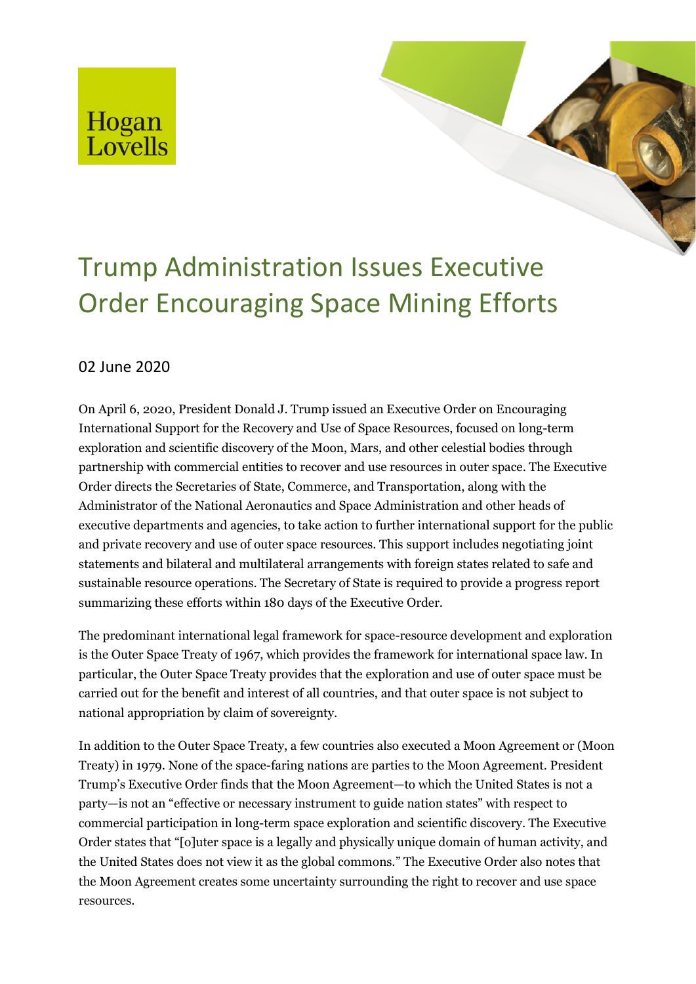## Hogan<br>Lovells

## Trump Administration Issues Executive Order Encouraging Space Mining Efforts

## 02 June 2020

On April 6, 2020, President Donald J. Trump issued an Executive Order on Encouraging International Support for the Recovery and Use of Space Resources, focused on long-term exploration and scientific discovery of the Moon, Mars, and other celestial bodies through partnership with commercial entities to recover and use resources in outer space. The Executive Order directs the Secretaries of State, Commerce, and Transportation, along with the Administrator of the National Aeronautics and Space Administration and other heads of executive departments and agencies, to take action to further international support for the public and private recovery and use of outer space resources. This support includes negotiating joint statements and bilateral and multilateral arrangements with foreign states related to safe and sustainable resource operations. The Secretary of State is required to provide a progress report summarizing these efforts within 180 days of the Executive Order.

The predominant international legal framework for space-resource development and exploration is the Outer Space Treaty of 1967, which provides the framework for international space law. In particular, the Outer Space Treaty provides that the exploration and use of outer space must be carried out for the benefit and interest of all countries, and that outer space is not subject to national appropriation by claim of sovereignty.

In addition to the Outer Space Treaty, a few countries also executed a Moon Agreement or (Moon Treaty) in 1979. None of the space-faring nations are parties to the Moon Agreement. President Trump's Executive Order finds that the Moon Agreement—to which the United States is not a party—is not an "effective or necessary instrument to guide nation states" with respect to commercial participation in long-term space exploration and scientific discovery. The Executive Order states that "[o]uter space is a legally and physically unique domain of human activity, and the United States does not view it as the global commons." The Executive Order also notes that the Moon Agreement creates some uncertainty surrounding the right to recover and use space resources.